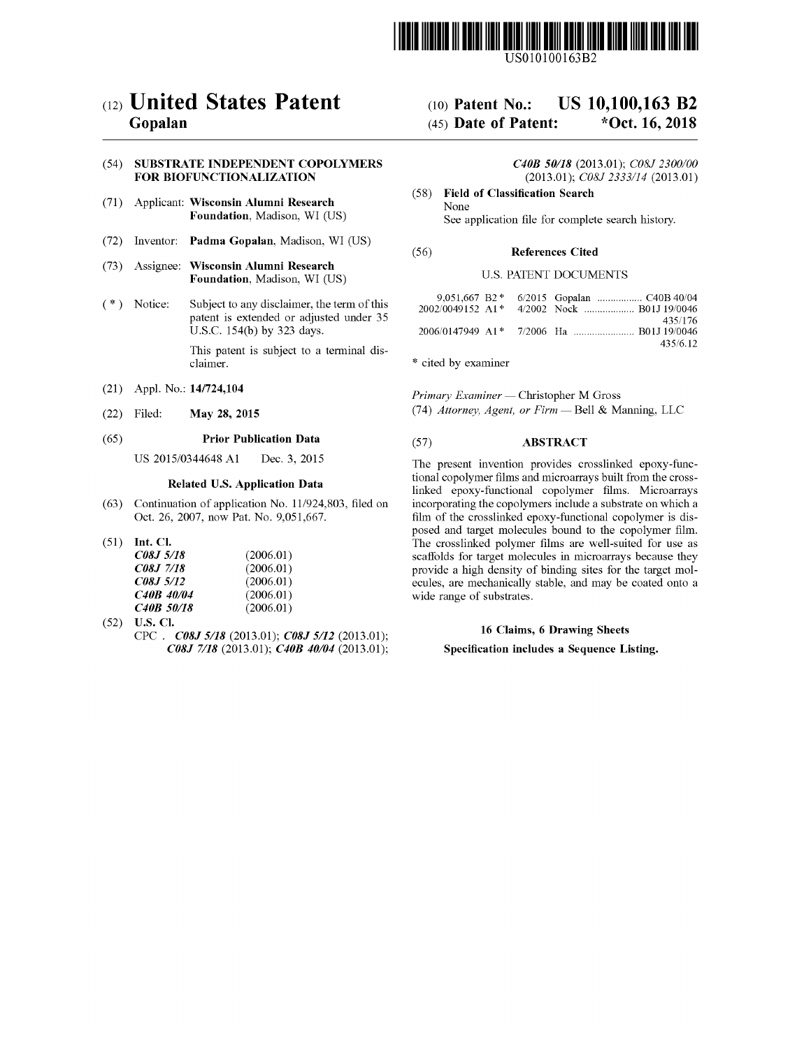

US010100163B2

# c12) **United States Patent**

# **Gopalan**

#### (54) **SUBSTRATE INDEPENDENT COPOLYMERS FOR BIOFUNCTIONALIZATION**

- (71) Applicant: **Wisconsin Alumni Research Foundation,** Madison, WI (US)
- (72) Inventor: **Padma Gopalan,** Madison, WI (US)
- (73) Assignee: **Wisconsin Alumni Research Foundation,** Madison, WI (US)
- (\*) Notice: Subject to any disclaimer, the term of this patent is extended or adjusted under 35 U.S.C. 154(b) by 323 days.

This patent is subject to a terminal disclaimer.

- (21) Appl. No.: **14/724,104**
- (22) Filed: **May 28, 2015**

#### (65) **Prior Publication Data**

US 2015/0344648 Al Dec. 3, 2015

### **Related U.S. Application Data**

- (63) Continuation of application No. 11/924,803, filed on Oct. 26, 2007, now Pat. No. 9,051,667.
- (51) **Int. Cl.**

| <i>C08.J 5/18</i>       | (2006.01) |
|-------------------------|-----------|
| <i><b>C08J 7/18</b></i> | (2006.01) |
| <i>C08J 5/12</i>        | (2006.01) |
| C <sub>40</sub> B 40/04 | (2006.01) |
| C <sub>40</sub> B 50/18 | (2006.01) |

(52) **U.S. Cl.**  CPC . *C08J 5118* (2013.01); *C08J 5112* (2013.01); *C08J 7118* (2013.01); *C40B 40104* (2013.01);

#### (IO) **Patent No.:**  (45) **Date of Patent: US 10,100,163 B2 \*Oct. 16, 2018**

*C40B 50/18* (2013.01); *C08J 2300/00*  (2013.01); *C08J 2333/14* (2013.01)

(58) **Field of Classification Search**  None See application file for complete search history.

#### (56) **References Cited**

#### U.S. PATENT DOCUMENTS

|  | 435/176  |
|--|----------|
|  |          |
|  | 435/6.12 |

\* cited by examiner

*Primary Examiner* - Christopher M Gross (74) *Attorney, Agent, or Firm* - Bell & Manning, LLC

### (57) **ABSTRACT**

The present invention provides crosslinked epoxy-functional copolymer films and microarrays built from the crosslinked epoxy-functional copolymer films. Microarrays incorporating the copolymers include a substrate on which a film of the crosslinked epoxy-functional copolymer is disposed and target molecules bound to the copolymer film. The crosslinked polymer films are well-suited for use as scaffolds for target molecules in microarrays because they provide a high density of binding sites for the target molecules, are mechanically stable, and may be coated onto a wide range of substrates.

#### **16 Claims, 6 Drawing Sheets**

### **Specification includes a Sequence Listing.**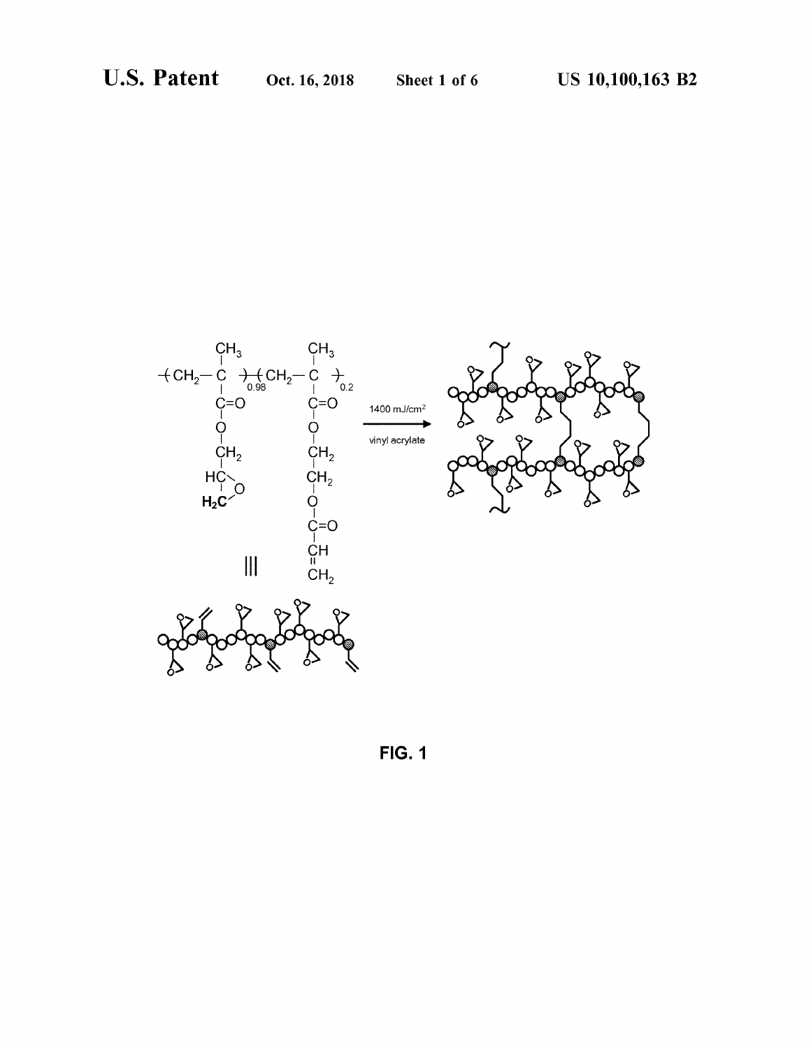

**FIG. 1**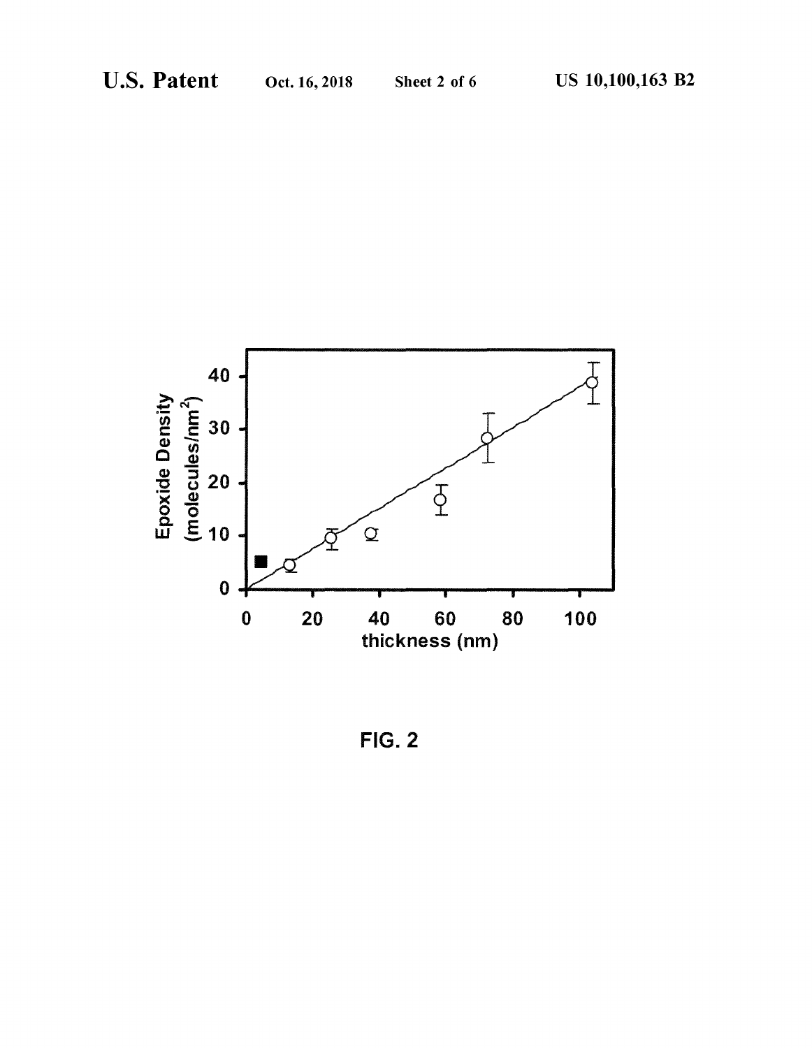

FIG. 2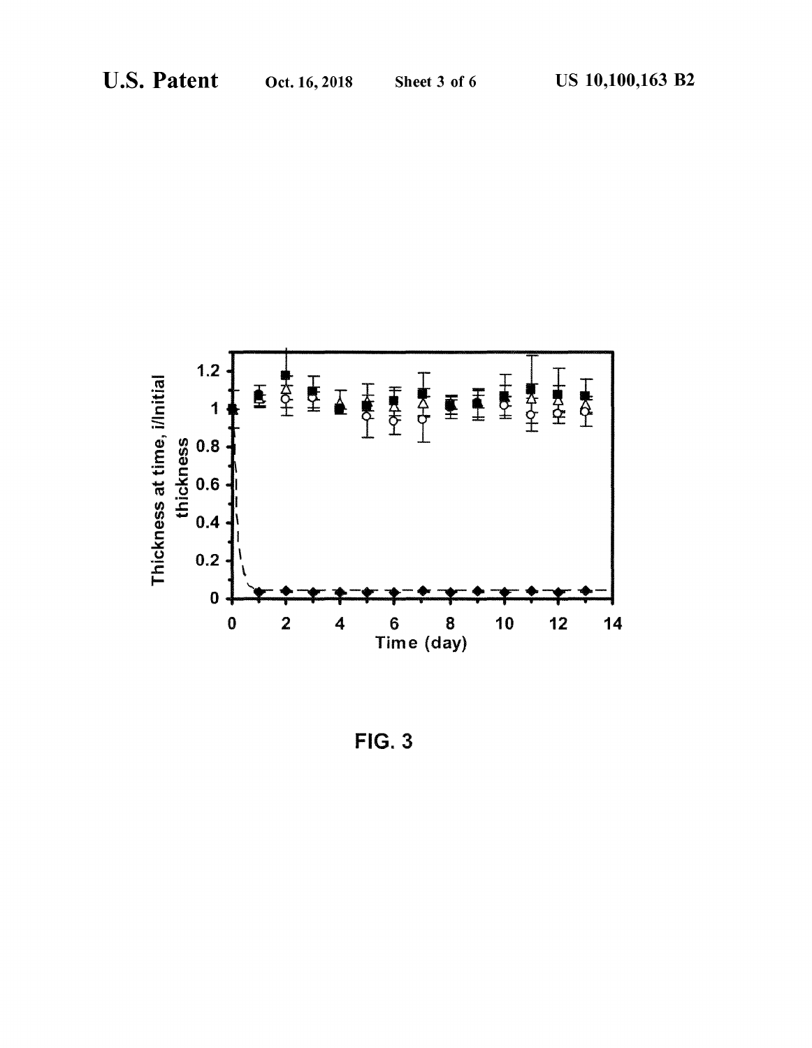

 $FIG. 3$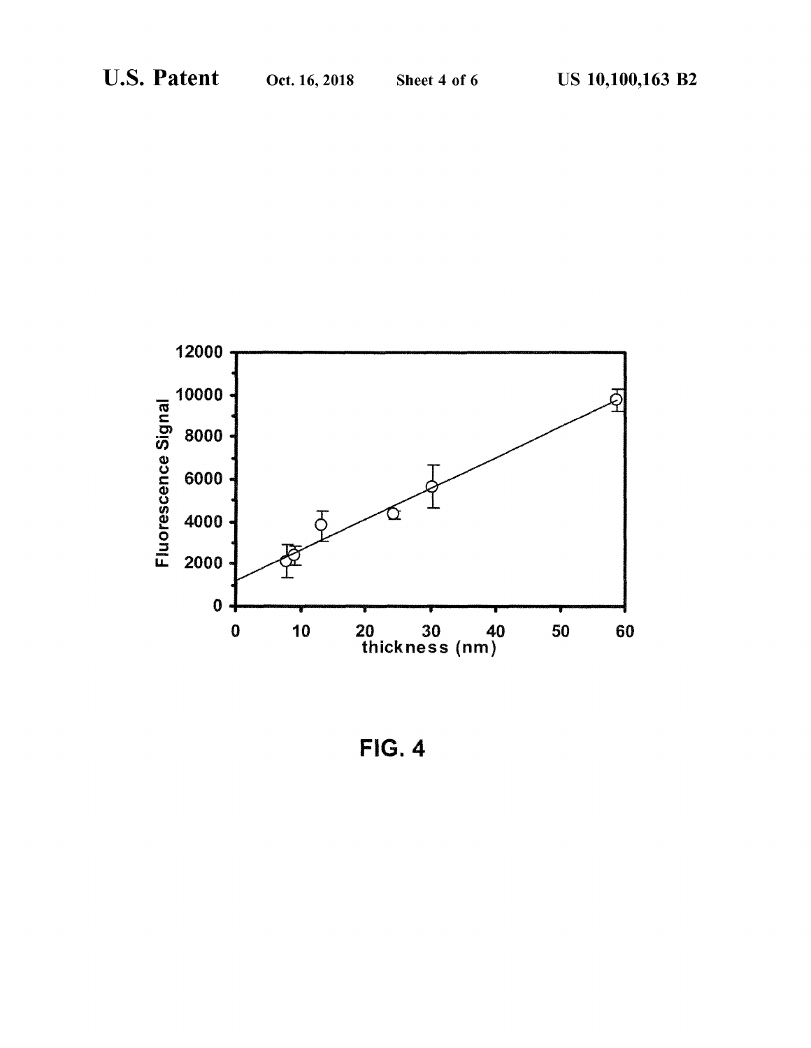

FIG. 4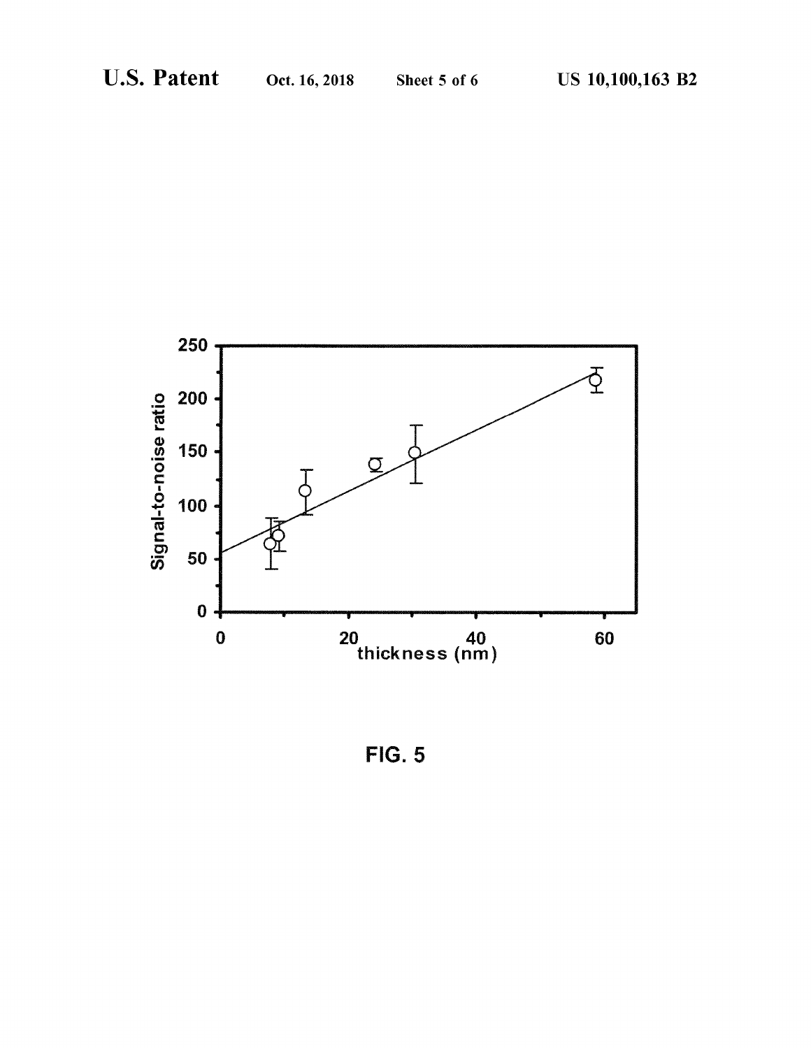

FIG. 5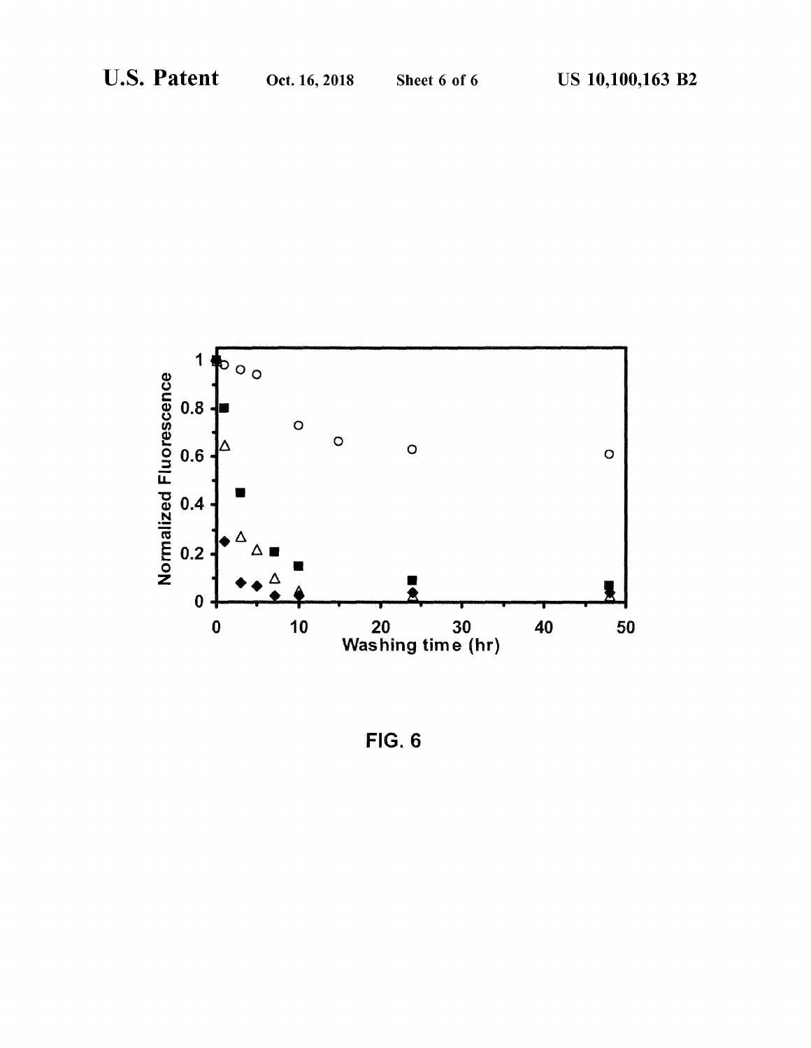

FIG. 6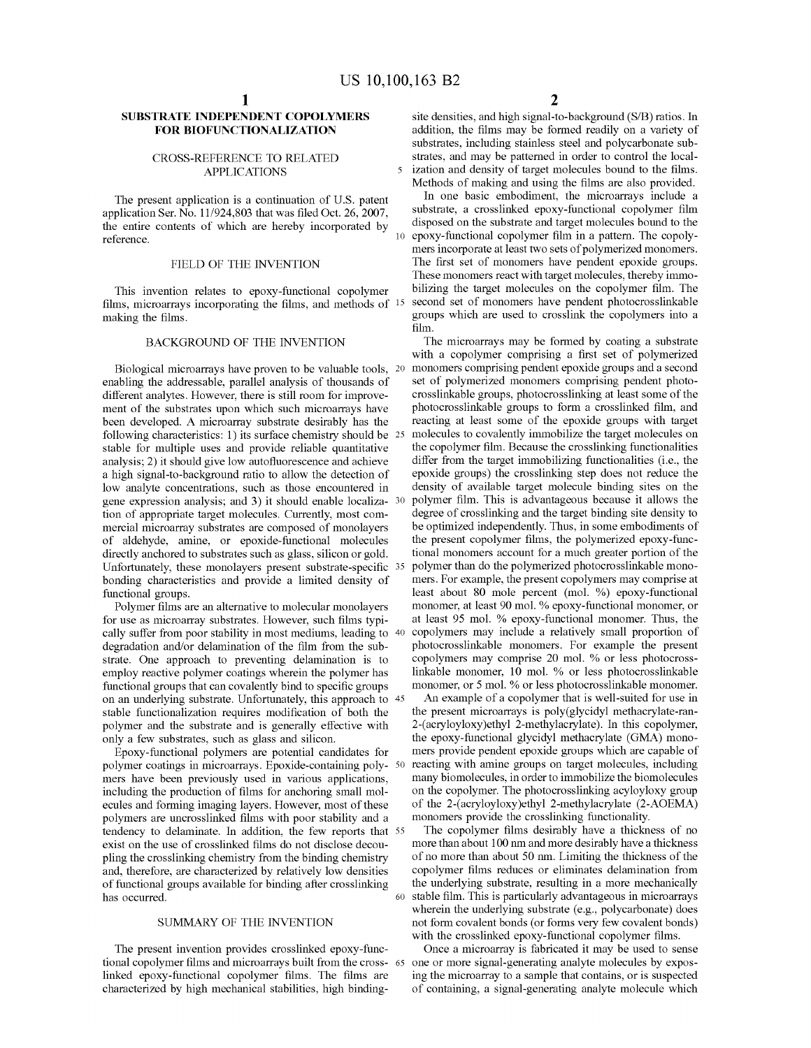## **SUBSTRATE INDEPENDENT COPOLYMERS FOR BIOFUNCTIONALIZATION**

#### CROSS-REFERENCE TO RELATED APPLICATIONS

The present application is a continuation of U.S. patent application Ser. No. 11/924,803 that was filed Oct. 26, 2007, the entire contents of which are hereby incorporated by reference.

### FIELD OF THE INVENTION

This invention relates to epoxy-functional copolymer films, microarrays incorporating the films, and methods of  $15$ making the films.

#### BACKGROUND OF THE INVENTION

Biological microarrays have proven to be valuable tools, 20 enabling the addressable, parallel analysis of thousands of different analytes. However, there is still room for improvement of the substrates upon which such microarrays have been developed. A microarray substrate desirably has the following characteristics: 1) its surface chemistry should be 25 stable for multiple uses and provide reliable quantitative analysis; 2) it should give low autofluorescence and achieve a high signal-to-background ratio to allow the detection of low analyte concentrations, such as those encountered in gene expression analysis; and 3) it should enable localization of appropriate target molecules. Currently, most commercial microarray substrates are composed of monolayers of aldehyde, amine, or epoxide-functional molecules directly anchored to substrates such as glass, silicon or gold. Unfortunately, these monolayers present substrate-specific 35 bonding characteristics and provide a limited density of functional groups.

Polymer films are an alternative to molecular monolayers for use as microarray substrates. However, such films typically suffer from poor stability in most mediums, leading to 40 degradation and/or delamination of the film from the substrate. One approach to preventing delamination is to employ reactive polymer coatings wherein the polymer has functional groups that can covalently bind to specific groups on an underlying substrate. Unfortunately, this approach to 45 stable functionalization requires modification of both the polymer and the substrate and is generally effective with only a few substrates, such as glass and silicon.

Epoxy-functional polymers are potential candidates for polymer coatings in microarrays. Epoxide-containing poly- 50 mers have been previously used in various applications, including the production of films for anchoring small molecules and forming imaging layers. However, most of these polymers are uncrosslinked films with poor stability and a tendency to delaminate. In addition, the few reports that 55 exist on the use of crosslinked films do not disclose decoupling the crosslinking chemistry from the binding chemistry and, therefore, are characterized by relatively low densities of functional groups available for binding after crosslinking the underlying substrate, resulting in a more mechanically has occurred.

#### SUMMARY OF THE INVENTION

The present invention provides crosslinked epoxy-functional copolymer films and microarrays built from the crosslinked epoxy-functional copolymer films. The films are characterized by high mechanical stabilities, high binding-

site densities, and high signal-to-background (S/B) ratios. In addition, the films may be formed readily on a variety of substrates, including stainless steel and polycarbonate substrates, and may be patterned in order to control the local-5 ization and density of target molecules bound to the films. Methods of making and using the films are also provided.

In one basic embodiment, the microarrays include a substrate, a crosslinked epoxy-functional copolymer film disposed on the substrate and target molecules bound to the epoxy-functional copolymer film in a pattern. The copolymers incorporate at least two sets of polymerized monomers. The first set of monomers have pendent epoxide groups. These monomers react with target molecules, thereby immobilizing the target molecules on the copolymer film. The second set of monomers have pendent photocrosslinkable groups which are used to crosslink the copolymers into a film.

The microarrays may be formed by coating a substrate with a copolymer comprising a first set of polymerized monomers comprising pendent epoxide groups and a second set of polymerized monomers comprising pendent photocrosslinkable groups, photocrosslinking at least some of the photocrosslinkable groups to form a crosslinked film, and reacting at least some of the epoxide groups with target molecules to covalently immobilize the target molecules on the copolymer film. Because the crosslinking functionalities differ from the target immobilizing functionalities (i.e., the epoxide groups) the crosslinking step does not reduce the density of available target molecule binding sites on the polymer film. This is advantageous because it allows the degree of crosslinking and the target binding site density to be optimized independently. Thus, in some embodiments of the present copolymer films, the polymerized epoxy-functional monomers account for a much greater portion of the polymer than do the polymerized photocrosslinkable monomers. For example, the present copolymers may comprise at least about 80 mole percent (mo!. %) epoxy-functional monomer, at least 90 mol. % epoxy-functional monomer, or at least 95 mo!. % epoxy-functional monomer. Thus, the 40 copolymers may include a relatively small proportion of photocrosslinkable monomers. For example the present copolymers may comprise 20 mo!. % or less photocrosslinkable monomer, 10 mo!. % or less photocrosslinkable monomer, or 5 mo!. % or less photocrosslinkable monomer.

An example of a copolymer that is well-suited for use in the present microarrays is poly(glycidyl methacrylate-ran-2-(acryloyloxy)ethyl 2-methylacrylate). In this copolymer, the epoxy-functional glycidyl methacrylate (GMA) monomers provide pendent epoxide groups which are capable of reacting with amine groups on target molecules, including many biomolecules, in order to immobilize the biomolecules on the copolymer. The photocrosslinking acyloyloxy group of the 2-(acryloyloxy)ethyl 2-methylacrylate (2-AOEMA) monomers provide the crosslinking functionality.

The copolymer films desirably have a thickness of no more than about 100 nm and more desirably have a thickness of no more than about 50 nm. Limiting the thickness of the copolymer films reduces or eliminates delamination from 60 stable film. This is particularly advantageous in microarrays wherein the underlying substrate (e.g., polycarbonate) does not form covalent bonds (or forms very few covalent bonds) with the crosslinked epoxy-functional copolymer films.

Once a microarray is fabricated it may be used to sense one or more signal-generating analyte molecules by exposing the microarray to a sample that contains, or is suspected of containing, a signal-generating analyte molecule which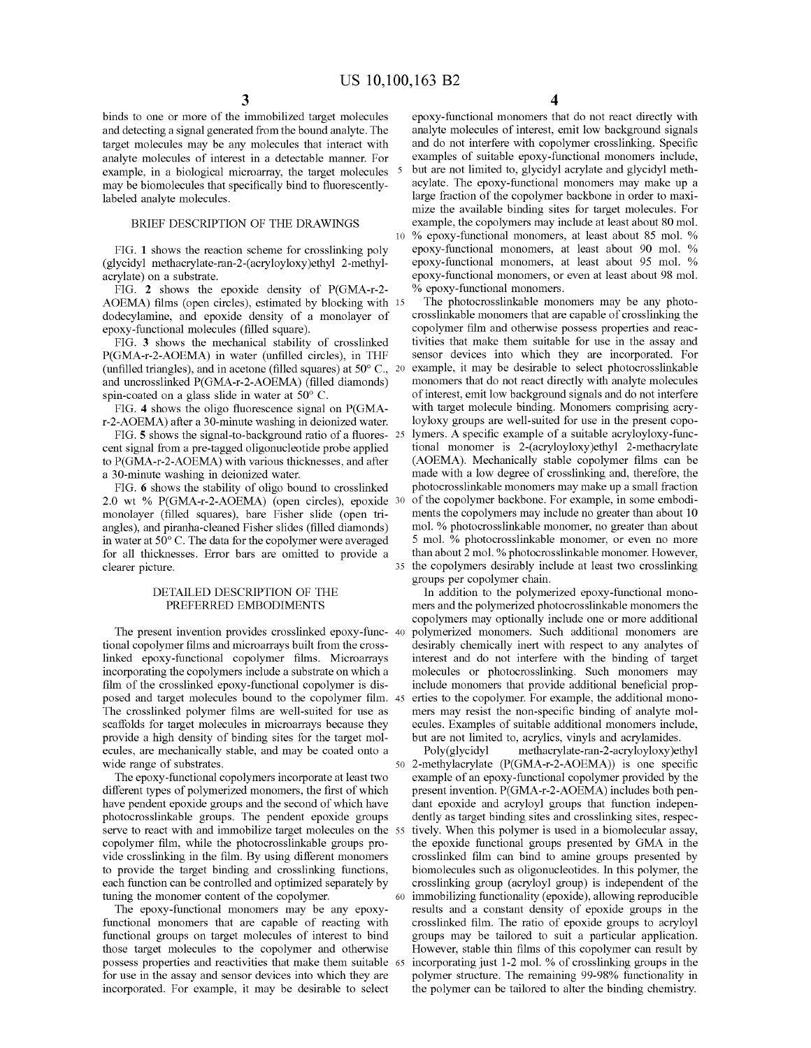binds to one or more of the immobilized target molecules and detecting a signal generated from the bound analyte. The target molecules may be any molecules that interact with analyte molecules of interest in a detectable manner. For example, in a biological microarray, the target molecules <sup>5</sup> may be biomolecules that specifically bind to fluorescentlylabeled analyte molecules.

FIG. **1** shows the reaction scheme for crosslinking poly (glycidyl methacrylate-ran-2-(acryloyloxy)ethyl 2-methylacrylate) on a substrate.

FIG. **2** shows the epoxide density of P(GMA-r-2- AOEMA) films (open circles), estimated by blocking with 15 dodecylamine, and epoxide density of a monolayer of epoxy-functional molecules (filled square).

FIG. **3** shows the mechanical stability of crosslinked P(GMA-r-2-AOEMA) in water (unfilled circles), in THF (unfilled triangles), and in acetone (filled squares) at 50° C., and uncrosslinked P(GMA-r-2-AOEMA) (filled diamonds) spin-coated on a glass slide in water at 50° C.

FIG. **4** shows the oligo fluorescence signal on P(GMAr-2-AOEMA) after a 30-minute washing in deionized water.

FIG. **5** shows the signal-to-background ratio of a fluorescent signal from a pre-tagged oligonucleotide probe applied to P(GMA-r-2-AOEMA) with various thicknesses, and after a 30-minute washing in deionized water.

FIG. **6** shows the stability of oligo bound to crosslinked 2.0 wt % P(GMA-r-2-AOEMA) (open circles), epoxide monolayer (filled squares), bare Fisher slide (open triangles), and piranha-cleaned Fisher slides (filled diamonds) in water at 50° C. The data for the copolymer were averaged for all thicknesses. Error bars are omitted to provide a clearer picture.

#### DETAILED DESCRIPTION OF THE PREFERRED EMBODIMENTS

The present invention provides crosslinked epoxy-func- 40 tional copolymer films and microarrays built from the crosslinked epoxy-functional copolymer films. Microarrays incorporating the copolymers include a substrate on which a film of the crosslinked epoxy-functional copolymer is disposed and target molecules bound to the copolymer film. The crosslinked polymer films are well-suited for use as scaffolds for target molecules in microarrays because they provide a high density of binding sites for the target molecules, are mechanically stable, and may be coated onto a wide range of substrates.

The epoxy-functional copolymers incorporate at least two different types of polymerized monomers, the first of which have pendent epoxide groups and the second of which have photocrosslinkable groups. The pendent epoxide groups serve to react with and immobilize target molecules on the 55 copolymer film, while the photocrosslinkable groups provide crosslinking in the film. By using different monomers to provide the target binding and crosslinking functions, each function can be controlled and optimized separately by tuning the monomer content of the copolymer.

The epoxy-functional monomers may be any epoxyfunctional monomers that are capable of reacting with functional groups on target molecules of interest to bind those target molecules to the copolymer and otherwise possess properties and reactivities that make them suitable for use in the assay and sensor devices into which they are incorporated. For example, it may be desirable to select

epoxy-functional monomers that do not react directly with analyte molecules of interest, emit low background signals and do not interfere with copolymer crosslinking. Specific examples of suitable epoxy-functional monomers include, but are not limited to, glycidyl acrylate and glycidyl methacylate. The epoxy-functional monomers may make up a large fraction of the copolymer backbone in order to maximize the available binding sites for target molecules. For BRIEF DESCRIPTION OF THE DRAWINGS example, the copolymers may include at least about 80 mol. 10 % epoxy-functional monomers, at least about 85 mo!. % epoxy-functional monomers, at least about 90 mo!. % epoxy-functional monomers, at least about 95 mo!. % epoxy-functional monomers, or even at least about 98 mo!. % epoxy-functional monomers.

> The photocrosslinkable monomers may be any photocrosslinkable monomers that are capable of crosslinking the copolymer film and otherwise possess properties and reactivities that make them suitable for use in the assay and sensor devices into which they are incorporated. For example, it may be desirable to select photocrosslinkable monomers that do not react directly with analyte molecules of interest, emit low background signals and do not interfere with target molecule binding. Monomers comprising acryloyloxy groups are well-suited for use in the present copolymers. A specific example of a suitable acryloyloxy-functional monomer is 2-(acryloyloxy)ethyl 2-methacrylate (AOEMA). Mechanically stable copolymer films can be made with a low degree of crosslinking and, therefore, the photocrosslinkable monomers may make up a small fraction of the copolymer backbone. For example, in some embodiments the copolymers may include no greater than about 10 mo!. % photocrosslinkable monomer, no greater than about 5 mo!. % photocrosslinkable monomer, or even no more than about 2 mo!. % photocrosslinkable monomer. However, 35 the copolymers desirably include at least two crosslinking groups per copolymer chain.

In addition to the polymerized epoxy-functional monomers and the polymerized photocrosslinkable monomers the copolymers may optionally include one or more additional polymerized monomers. Such additional monomers are desirably chemically inert with respect to any analytes of interest and do not interfere with the binding of target molecules or photocrosslinking. Such monomers may include monomers that provide additional beneficial properties to the copolymer. For example, the additional monomers may resist the non-specific binding of analyte molecules. Examples of suitable additional monomers include, but are not limited to, acrylics, vinyls and acrylamides.

Poly(glycidyl methacrylate-ran-2-acryloyloxy)ethyl 50 2-methylacrylate (P(GMA-r-2-AOEMA)) is one specific example of an epoxy-functional copolymer provided by the present invention. P(GMA-r-2-AOEMA) includes both pendant epoxide and acryloyl groups that function independently as target binding sites and crosslinking sites, respectively. When this polymer is used in a biomolecular assay, the epoxide functional groups presented by GMA in the crosslinked film can bind to amine groups presented by biomolecules such as oligonucleotides. In this polymer, the crosslinking group (acryloyl group) is independent of the 60 immobilizing functionality ( epoxide ), allowing reproducible results and a constant density of epoxide groups in the crosslinked film. The ratio of epoxide groups to acryloyl groups may be tailored to suit a particular application. However, stable thin films of this copolymer can result by incorporating just 1-2 mol. % of crosslinking groups in the polymer structure. The remaining 99-98% functionality in the polymer can be tailored to alter the binding chemistry.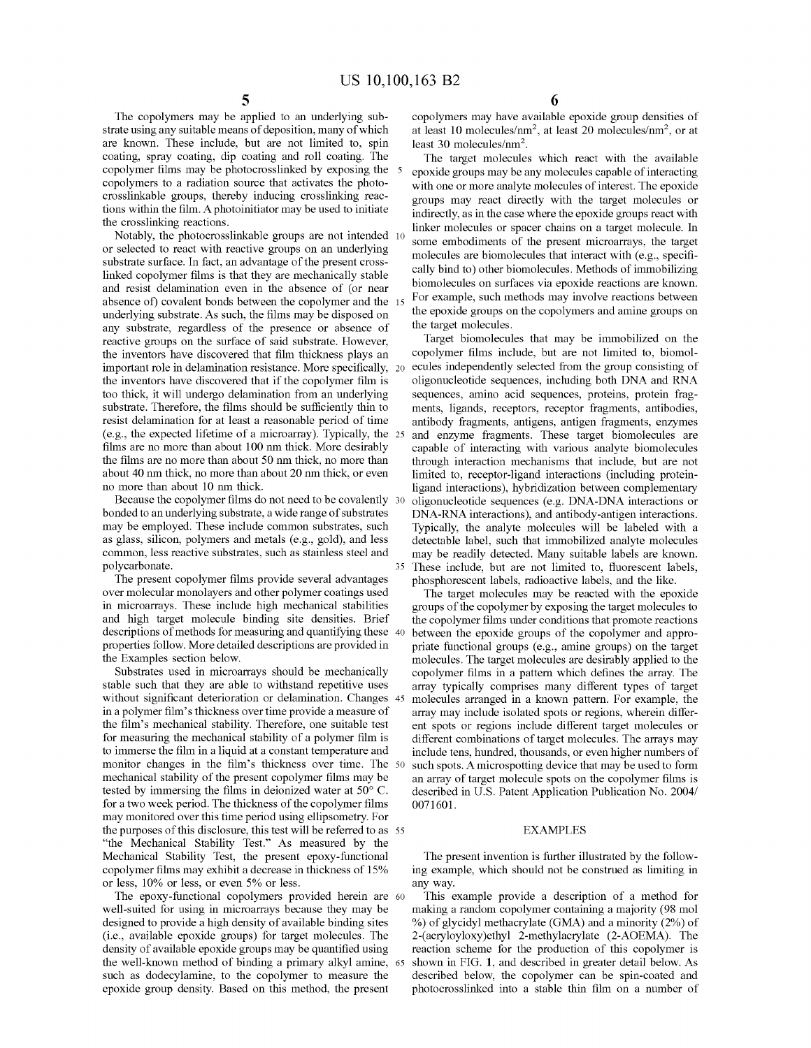The copolymers may be applied to an underlying substrate using any suitable means of deposition, many of which are known. These include, but are not limited to, spin coating, spray coating, dip coating and roll coating. The copolymer films may be photocrosslinked by exposing the copolymers to a radiation source that activates the photocrosslinkable groups, thereby inducing crosslinking reactions within the film. A photoinitiator may be used to initiate the crosslinking reactions.

Notably, the photocrosslinkable groups are not intended or selected to react with reactive groups on an underlying substrate surface. In fact, an advantage of the present crosslinked copolymer films is that they are mechanically stable and resist delamination even in the absence of (or near absence of) covalent bonds between the copolymer and the underlying substrate. As such, the films may be disposed on any substrate, regardless of the presence or absence of reactive groups on the surface of said substrate. However, the inventors have discovered that film thickness plays an important role in delamination resistance. More specifically, 20 the inventors have discovered that if the copolymer film is too thick, it will undergo delamination from an underlying substrate. Therefore, the films should be sufficiently thin to resist delamination for at least a reasonable period of time (e.g., the expected lifetime of a microarray). Typically, the films are no more than about 100 nm thick. More desirably the films are no more than about 50 nm thick, no more than about 40 nm thick, no more than about 20 nm thick, or even no more than about 10 nm thick.

Because the copolymer films do not need to be covalently 30 bonded to an underlying substrate, a wide range of substrates may be employed. These include common substrates, such as glass, silicon, polymers and metals (e.g., gold), and less common, less reactive substrates, such as stainless steel and polycarbonate.

The present copolymer films provide several advantages over molecular monolayers and other polymer coatings used in microarrays. These include high mechanical stabilities and high target molecule binding site densities. Brief descriptions of methods for measuring and quantifying these 40 properties follow. More detailed descriptions are provided in the Examples section below.

Substrates used in microarrays should be mechanically stable such that they are able to withstand repetitive uses without significant deterioration or delamination. Changes 45 in a polymer film's thickness over time provide a measure of the film's mechanical stability. Therefore, one suitable test for measuring the mechanical stability of a polymer film is to immerse the film in a liquid at a constant temperature and include tens, hundred, thousands, or even higher numbers of monitor changes in the film's thickness over time. The mechanical stability of the present copolymer films may be tested by immersing the films in deionized water at 50° C. for a two week period. The thickness of the copolymer films may monitored over this time period using ellipsometry. For the purposes of this disclosure, this test will be referred to as 55 "the Mechanical Stability Test." As measured by the Mechanical Stability Test, the present epoxy-functional copolymer films may exhibit a decrease in thickness of 15% or less, 10% or less, or even 5% or less. any way.

The epoxy-functional copolymers provided herein are 60 well-suited for using in microarrays because they may be designed to provide a high density of available binding sites (i.e., available epoxide groups) for target molecules. The density of available epoxide groups may be quantified using the well-known method of binding a primary alkyl amine, 65 such as dodecylamine, to the copolymer to measure the epoxide group density. Based on this method, the present

copolymers may have available epoxide group densities of at least 10 molecules/nm<sup>2</sup> , at least 20 molecules/nm<sup>2</sup> , or at least 30 molecules/nm<sup>2</sup>.

The target molecules which react with the available 5 epoxide groups may be any molecules capable of interacting with one or more analyte molecules of interest. The epoxide groups may react directly with the target molecules or indirectly, as in the case where the epoxide groups react with linker molecules or spacer chains on a target molecule. In some embodiments of the present microarrays, the target molecules are biomolecules that interact with (e.g., specifically bind to) other biomolecules. Methods of immobilizing biomolecules on surfaces via epoxide reactions are known. For example, such methods may involve reactions between the epoxide groups on the copolymers and amine groups on the target molecules.

Target biomolecules that may be immobilized on the copolymer films include, but are not limited to, biomolecules independently selected from the group consisting of oligonucleotide sequences, including both DNA and RNA sequences, amino acid sequences, proteins, protein fragments, ligands, receptors, receptor fragments, antibodies, antibody fragments, antigens, antigen fragments, enzymes and enzyme fragments. These target biomolecules are capable of interacting with various analyte biomolecules through interaction mechanisms that include, but are not limited to, receptor-ligand interactions (including proteinligand interactions), hybridization between complementary oligonucleotide sequences (e.g. DNA-DNA interactions or DNA-RNA interactions), and antibody-antigen interactions. Typically, the analyte molecules will be labeled with a detectable label, such that immobilized analyte molecules may be readily detected. Many suitable labels are known. These include, but are not limited to, fluorescent labels, phosphorescent labels, radioactive labels, and the like.

The target molecules may be reacted with the epoxide groups of the copolymer by exposing the target molecules to the copolymer films under conditions that promote reactions between the epoxide groups of the copolymer and appropriate functional groups (e.g., amine groups) on the target molecules. The target molecules are desirably applied to the copolymer films in a pattern which defines the array. The array typically comprises many different types of target molecules arranged in a known pattern. For example, the array may include isolated spots or regions, wherein different spots or regions include different target molecules or different combinations of target molecules. The arrays may such spots. A microspotting device that may be used to form an array of target molecule spots on the copolymer films is described in U.S. Patent Application Publication No. 2004/ 0071601.

### EXAMPLES

The present invention is further illustrated by the following example, which should not be construed as limiting in

This example provide a description of a method for making a random copolymer containing a majority (98 mo! % ) of glycidyl methacrylate (GMA) and a minority (2%) of 2-(acryloyloxy)ethyl 2-methylacrylate (2-AOEMA). The reaction scheme for the production of this copolymer is shown in FIG. **1,** and described in greater detail below. As described below, the copolymer can be spin-coated and photocrosslinked into a stable thin film on a number of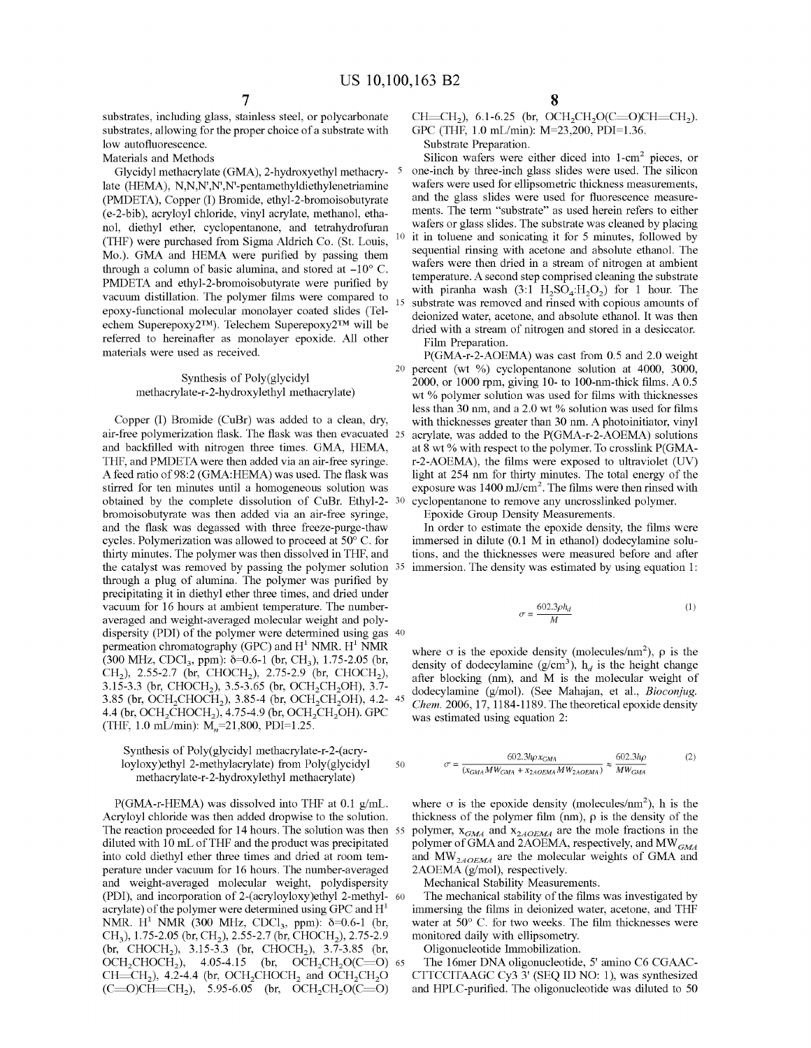substrates, including glass, stainless steel, or polycarbonate substrates, allowing for the proper choice of a substrate with low autofluorescence.

Materials and Methods

Glycidyl methacrylate (GMA), 2-hydroxyethyl methacry- 5 late (HEMA), N,N,N',N',N'-pentamethyldiethylenetriamine (PMDETA), Copper (I) Bromide, ethyl-2-bromoisobutyrate (e-2-bib), acryloyl chloride, vinyl acrylate, methanol, ethanol, diethyl ether, cyclopentanone, and tetrahydrofuran (THF) were purchased from Sigma Aldrich Co. (St. Louis, <sup>10</sup> Mo.). GMA and HEMA were purified by passing them through a column of basic alumina, and stored at  $-10^{\circ}$  C. PMDETA and ethyl-2-bromoisobutyrate were purified by vacuum distillation. The polymer films were compared to epoxy-functional molecular monolayer coated slides (Telechem Superepoxy2™). Telechem Superepoxy2™ will be referred to hereinafter as monolayer epoxide. All other materials were used as received.

> Synthesis of Poly(glycidyl methacrylate-r-2-hydroxylethyl methacrylate)

Copper (I) Bromide (CuBr) was added to a clean, dry, air-free polymerization flask. The flask was then evacuated and backfilled with nitrogen three times. GMA, HEMA, THF, and PMDETA were then added via an air-free syringe. A feed ratio of 98:2 (GMA:HEMA) was used. The flask was stirred for ten minutes until a homogeneous solution was obtained by the complete dissolution of CuBr. Ethyl-2 bromoisobutyrate was then added via an air-free syringe, and the flask was degassed with three freeze-purge-thaw cycles. Polymerization was allowed to proceed at 50° C. for thirty minutes. The polymer was then dissolved in THF, and the catalyst was removed by passing the polymer solution 35 immersion. The density was estimated by using equation 1: through a plug of alumina. The polymer was purified by precipitating it in diethyl ether three times, and dried under vacuum for 16 hours at ambient temperature. The numberaveraged and weight-averaged molecular weight and polydispersity (PDI) of the polymer were determined using gas 40 permeation chromatography (GPC) and  $H<sup>1</sup>$  NMR.  $H<sup>1</sup>$  NMR (300 MHz, CDCl<sub>3</sub>, ppm):  $\delta$ =0.6-1 (br, CH<sub>3</sub>), 1.75-2.05 (br, CH<sub>2</sub>), 2.55-2.7 (br, CHOCH<sub>2</sub>), 2.75-2.9 (br, CHOCH<sub>2</sub>), 3.15-3.3 (br, CHOCH<sub>2</sub>), 3.5-3.65 (br, OCH<sub>2</sub>CH<sub>2</sub>OH), 3.7-3.85 (br, OCH<sub>2</sub>CHOCH<sub>2</sub>), 3.85-4 (br, OCH<sub>2</sub>CH<sub>2</sub>OH), 4.2- 45 4.4 (br, OCH<sub>2</sub>CHOCH<sub>2</sub>), 4.75-4.9 (br, OCH<sub>2</sub>CH<sub>2</sub>OH). GPC (THF, 1.0 mL/min):  $M_n$ =21,800, PDI=1.25.

#### Synthesis of Poly(glycidyl methacrylate-r-2-(acryloyloxy)ethyl 2-methylacrylate) from Poly(glycidyl methacrylate-r-2-hydroxylethyl methacrylate)

P(GMA-r-HEMA) was dissolved into THF at 0.1 g/mL. Acryloyl chloride was then added dropwise to the solution. The reaction proceeded for 14 hours. The solution was then 55 diluted with 10 mL of THF and the product was precipitated into cold diethyl ether three times and dried at room temperature under vacuum for 16 hours. The number-averaged and weight-averaged molecular weight, polydispersity (PDI), and incorporation of 2-(acryloyloxy)ethyl 2-methyl- <sup>60</sup> acrylate) of the polymer were determined using GPC and  $H<sup>1</sup>$ NMR. H<sup>1</sup> NMR (300 MHz, CDCl<sub>3</sub>, ppm):  $\delta$ =0.6-1 (br, CH<sub>3</sub>), 1.75-2.05 (br, CH<sub>2</sub>), 2.55-2.7 (br, CHOCH<sub>2</sub>), 2.75-2.9  $(br, CHOCH<sub>2</sub>), 3.15-3.3$   $(br, CHOCH<sub>2</sub>), 3.7-3.85$   $(br,$  $OCH_2CHOCH_2$ ), 4.05-4.15 (br,  $OCH_2CH_2O(C=O)$  65  $CH = CH<sub>2</sub>$ ), 4.2-4.4 (br, OCH<sub>2</sub>CHOCH<sub>2</sub> and OCH<sub>2</sub>CH<sub>2</sub>O  $(C=O)CH=CH_2$ ), 5.95-6.05 (br,  $OCH_2CH_2O(C=O)$ 

 $CH = CH<sub>2</sub>$ ), 6.1-6.25 (br,  $OCH<sub>2</sub>CH<sub>2</sub>O(C=O)CH = CH<sub>2</sub>$ ). GPC (THF, 1.0 mL/min): M=23,200, PDI=l.36.

Substrate Preparation.

Silicon wafers were either diced into  $1$ -cm<sup>2</sup> pieces, or one-inch by three-inch glass slides were used. The silicon wafers were used for ellipsometric thickness measurements, and the glass slides were used for fluorescence measurements. The term "substrate" as used herein refers to either wafers or glass slides. The substrate was cleaned by placing it in toluene and sonicating it for 5 minutes, followed by sequential rinsing with acetone and absolute ethanol. The wafers were then dried in a stream of nitrogen at ambient temperature. A second step comprised cleaning the substrate with piranha wash  $(3:1 H<sub>2</sub>SO<sub>4</sub>:H<sub>2</sub>O<sub>2</sub>)$  for 1 hour. The substrate was removed and rinsed with copious amounts of deionized water, acetone, and absolute ethanol. It was then dried with a stream of nitrogen and stored in a desiccator. Film Preparation.

P(GMA-r-2-AOEMA) was cast from 0.5 and 2.0 weight 20 percent (wt %) cyclopentanone solution at 4000, 3000, 2000, or 1000 rpm, giving 10- to 100-nm-thick films. A 0.5 wt % polymer solution was used for films with thicknesses less than 30 nm, and a 2.0 wt % solution was used for films with thicknesses greater than 30 nm. A photoinitiator, vinyl acrylate, was added to the P(GMA-r-2-AOEMA) solutions at 8 wt% with respect to the polymer. To crosslink P(GMAr-2-AOEMA), the films were exposed to ultraviolet (UV) light at 254 nm for thirty minutes. The total energy of the exposure was 1400 mJ/cm<sup>2</sup> . The films were then rinsed with cyclopentanone to remove any uncrosslinked polymer.

Epoxide Group Density Measurements.

In order to estimate the epoxide density, the films were immersed in dilute (0.1 M in ethanol) dodecylamine solutions, and the thicknesses were measured before and after

$$
\sigma = \frac{602.3\rho h_d}{M} \tag{1}
$$

where  $\sigma$  is the epoxide density (molecules/nm<sup>2</sup>),  $\rho$  is the density of dodecylamine ( $g/cm<sup>3</sup>$ ),  $h<sub>d</sub>$  is the height change after blocking (nm), and M is the molecular weight of dodecylamine (g/mol). (See Mahajan, et al., *Bioconjug. Chem.* 2006, 17, 1184-1189. The theoretical epoxide density was estimated using equation 2:

$$
\sigma = \frac{602.3 h\rho x_{GMA}}{(x_{GMA} M W_{GMA} + x_{2A0EMA} M W_{2A0EMA})} \approx \frac{602.3 h\rho}{M W_{GMA}}
$$
(2)

where  $\sigma$  is the epoxide density (molecules/nm<sup>2</sup>), h is the thickness of the polymer film (nm),  $\rho$  is the density of the polymer,  $x_{GMA}$  and  $x_{2A0EMA}$  are the mole fractions in the polymer of GMA and 2AOEMA, respectively, and MW  $_{GMA}$ and  $MW_{2AOEMA}$  are the molecular weights of GMA and 2AOEMA (g/mol), respectively.

Mechanical Stability Measurements.

50

The mechanical stability of the films was investigated by immersing the films in deionized water, acetone, and THF water at 50° C. for two weeks. The film thicknesses were monitored daily with ellipsometry.

Oligonucleotide Immobilization.

The 16mer DNA oligonucleotide, 5' amino C6 CGAAC-CTTCCITAAGC Cy3 3' (SEQ ID NO: 1), was synthesized and HPLC-purified. The oligonucleotide was diluted to 50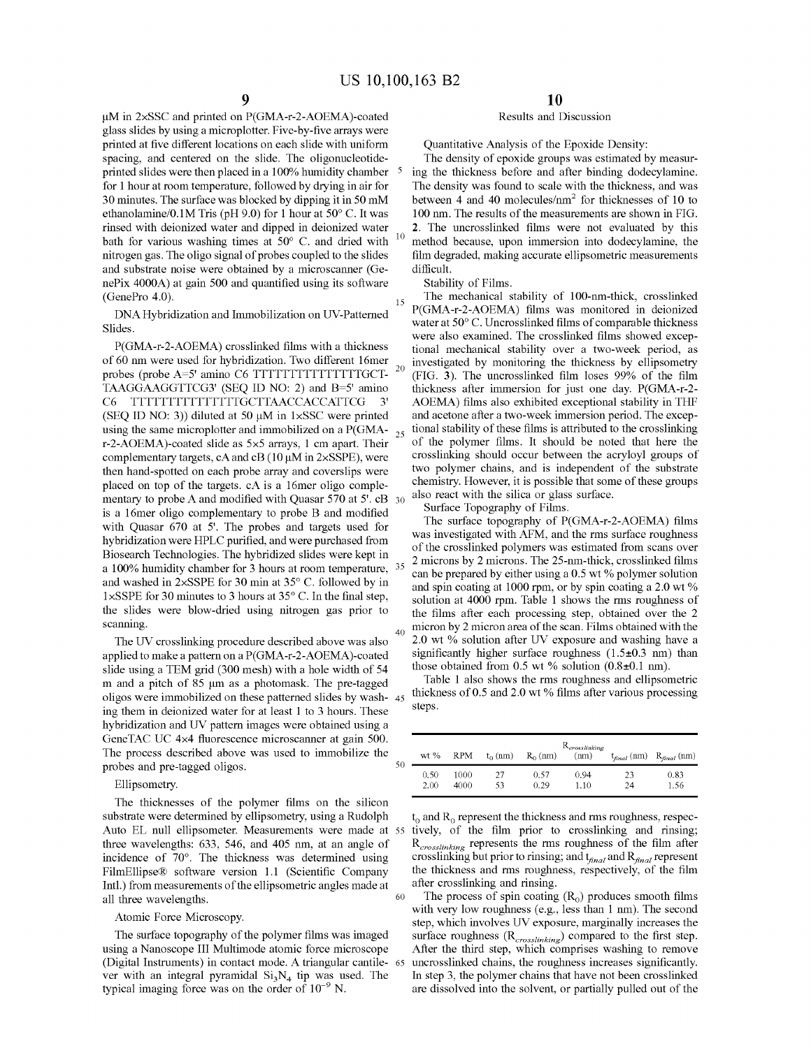50

µM in 2xSSC and printed on P(GMA-r-2-AOEMA)-coated glass slides by using a microplotter. Five-by-five arrays were printed at five different locations on each slide with uniform spacing, and centered on the slide. The oligonucleotideprinted slides were then placed in a 100% humidity chamber 5 for 1 hour at room temperature, followed by drying in air for 30 minutes. The surface was blocked by dipping it in 50 mM ethanolamine/0.lM Tris (pH 9.0) for 1 hour at 50° C. It was rinsed with deionized water and dipped in deionized water bath for various washing times at  $50^{\circ}$  C. and dried with nitrogen gas. The oligo signal of probes coupled to the slides and substrate noise were obtained by a microscanner (GenePix 4000A) at gain 500 and quantified using its software

DNA Hybridization and Immobilization on UV-Patterned Slides.

P(GMA-r-2-AOEMA) crosslinked films with a thickness of 60 nm were used for hybridization. Two different 16mer probes (probe A=5' amino C6 TTTTTTTTTTTTTTTGCT-TAAGGAAGGTTCG3' (SEQ ID NO: 2) and B=5' amino C6 TTTTTTTTTTTTTTTGCTTAACCACCATTCG 3' (SEQ ID NO: 3)) diluted at 50  $\mu$ M in 1×SSC were printed using the same microplotter and immobilized on a P(GMA- $_{25}$ ) r-2-AOEMA)-coated slide as 5x5 arrays, 1 cm apart. Their complementary targets, cA and cB ( $10 \mu$ M in 2×SSPE), were then hand-spotted on each probe array and coverslips were placed on top of the targets. cA is a 16mer oligo complementary to probe A and modified with Quasar 570 at 5'. cB 30 is a 16mer oligo complementary to probe B and modified with Quasar 670 at 5'. The probes and targets used for hybridization were HPLC purified, and were purchased from Biosearch Technologies. The hybridized slides were kept in a 100% humidity chamber for 3 hours at room temperature, and washed in 2xSSPE for 30 min at 35° C. followed by in 1 xSSPE for 30 minutes to 3 hours at 35° C. In the final step, the slides were blow-dried using nitrogen gas prior to scanning.

The UV crosslinking procedure described above was also applied to make a pattern on a P(GMA-r-2-AOEMA)-coated slide using a TEM grid (300 mesh) with a hole width of 54 m and a pitch of 85 µm as a photomask. The pre-tagged oligos were immobilized on these patterned slides by washing them in deionized water for at least 1 to 3 hours. These hybridization and UV pattern images were obtained using a GeneTAC UC 4x4 fluorescence microscanner at gain 500. The process described above was used to immobilize the probes and pre-tagged oligos.

### Ellipsometry.

The thicknesses of the polymer films on the silicon substrate were determined by ellipsometry, using a Rudolph three wavelengths: 633, 546, and 405 nm, at an angle of incidence of 70°. The thickness was determined using FilmEllipse® software version 1.1 (Scientific Company Intl.) from measurements of the ellipsometric angles made at all three wavelengths.

#### Atomic Force Microscopy.

The surface topography of the polymer films was imaged using a Nanoscope III Multimode atomic force microscope (Digital Instruments) in contact mode. A triangular cantilever with an integral pyramidal  $Si<sub>3</sub>N<sub>4</sub>$  tip was used. The typical imaging force was on the order of  $10^{-9}$  N.

### Results and Discussion

Quantitative Analysis of the Epoxide Density:

The density of epoxide groups was estimated by measuring the thickness before and after binding dodecylamine. The density was found to scale with the thickness, and was between 4 and 40 molecules/ $\text{nm}^2$  for thicknesses of 10 to 100 nm. The results of the measurements are shown in FIG. **2.** The uncrosslinked films were not evaluated by this method because, upon immersion into dodecylamine, the film degraded, making accurate ellipsometric measurements difficult.

Stability of Films.

(GenePro 4.0). 15 The mechanical stability of 100-nm-thick, crosslinked P(GMA-r-2-AOEMA) films was monitored in deionized water at 50° C. Uncrosslinked films of comparable thickness were also examined. The crosslinked films showed exceptional mechanical stability over a two-week period, as <sub>20</sub> investigated by monitoring the thickness by ellipsometry (FIG. **3).** The uncrosslinked film loses 99% of the film thickness after immersion for just one day. P(GMA-r-2- AOEMA) films also exhibited exceptional stability in THF and acetone after a two-week immersion period. The exceptional stability of these films is attributed to the crosslinking of the polymer films. It should be noted that here the crosslinking should occur between the acryloyl groups of two polymer chains, and is independent of the substrate chemistry. However, it is possible that some of these groups also react with the silica or glass surface.

Surface Topography of Films.

The surface topography of P(GMA-r-2-AOEMA) films was investigated with AFM, and the rms surface roughness of the crosslinked polymers was estimated from scans over 2 microns by 2 microns. The 25-nm-thick, crosslinked films can be prepared by either using a  $0.5$  wt % polymer solution and spin coating at 1000 rpm, or by spin coating a  $2.0 \text{ wt } \%$ solution at 4000 rpm. Table 1 shows the rms roughness of the films after each processing step, obtained over the 2 micron by 2 micron area of the scan. Films obtained with the 2.0 wt % solution after UV exposure and washing have a significantly higher surface roughness  $(1.5\pm0.3 \text{ nm})$  than those obtained from 0.5 wt % solution  $(0.8\pm0.1 \text{ nm})$ .

Table 1 also shows the rms roughness and ellipsometric thickness of 0.5 and 2.0 wt  $%$  films after various processing steps.

| wt % | RPM  | $t_0$ (nm) | $R_0$ (nm) | $\mathrm{R}_{crosslinking}$<br>(nm) | $t_{final}$ (nm) | $R_{\text{final}}$ (nm) |
|------|------|------------|------------|-------------------------------------|------------------|-------------------------|
| 0.50 | 1000 | 27         | 0.57       | 0.94                                | フミ               | 0.83                    |
| 2.00 | 4000 | 53         | 0.29       | 1.10                                | 24               | 1.56                    |

Auto EL null ellipsometer. Measurements were made at 55 tively, of the film prior to crosslinking and rinsing;  $t_0$  and  $R_0$  represent the thickness and rms roughness, respec-*Rcrosslinking* represents the rms roughness of the film after crosslinking but prior to rinsing; and  $t_{final}$  and  $R_{final}$  represent the thickness and rms roughness, respectively, of the film after crosslinking and rinsing.

60 The process of spin coating  $(R_0)$  produces smooth films with very low roughness (e.g., less than 1 nm). The second step, which involves UV exposure, marginally increases the surface roughness (R<sub>crosslinking</sub>) compared to the first step. After the third step, which comprises washing to remove uncrosslinked chains, the roughness increases significantly. In step 3, the polymer chains that have not been crosslinked are dissolved into the solvent, or partially pulled out of the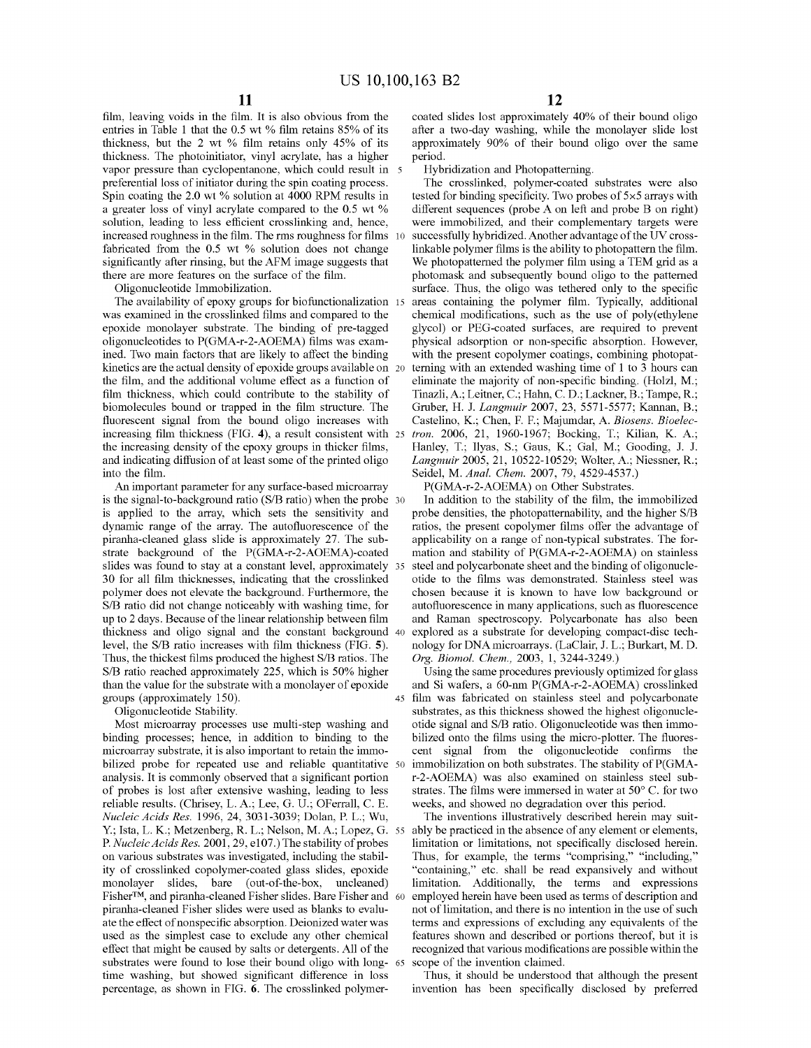film, leaving voids in the film. It is also obvious from the entries in Table 1 that the 0.5 wt % film retains 85% of its thickness, but the 2 wt % film retains only 45% of its thickness. The photoinitiator, vinyl acrylate, has a higher vapor pressure than cyclopentanone, which could result in 5 preferential loss of initiator during the spin coating process. Spin coating the 2.0 wt % solution at 4000 RPM results in a greater loss of vinyl acrylate compared to the 0.5 wt % solution, leading to less efficient crosslinking and, hence, increased roughness in the film. The rms roughness for films fabricated from the 0.5 wt % solution does not change significantly after rinsing, but the AFM image suggests that there are more features on the surface of the film.

Oligonucleotide Immobilization.

The availability of epoxy groups for biofunctionalization 15 was examined in the crosslinked films and compared to the epoxide monolayer substrate. The binding of pre-tagged oligonucleotides to P(GMA-r-2-AOEMA) films was examined. Two main factors that are likely to affect the binding kinetics are the actual density of epoxide groups available on 20 the film, and the additional volume effect as a function of film thickness, which could contribute to the stability of biomolecules bound or trapped in the film structure. The fluorescent signal from the bound oligo increases with increasing film thickness (FIG. **4),** a result consistent with the increasing density of the epoxy groups in thicker films, and indicating diffusion of at least some of the printed oligo into the film.

An important parameter for any surface-based microarray P(GMA-r-2-AOEMA) on Other Substrates. is the signal-to-background ratio (S/B ratio) when the probe 30 is applied to the array, which sets the sensitivity and dynamic range of the array. The autofluorescence of the piranha-cleaned glass slide is approximately 27. The substrate background of the P(GMA-r-2-AOEMA)-coated slides was found to stay at a constant level, approximately 35 steel and polycarbonate sheet and the binding of oligonucle-30 for all film thicknesses, indicating that the crosslinked otide to the films was demonstrated. Stainless steel was polymer does not elevate the background. Furthermore, the S/B ratio did not change noticeably with washing time, for up to 2 days. Because of the linear relationship between film thickness and oligo signal and the constant background 40 level, the S/B ratio increases with film thickness (FIG. **5).**  Thus, the thickest films produced the highest S/B ratios. The S/B ratio reached approximately 225, which is 50% higher than the value for the substrate with a monolayer of epoxide

Oligonucleotide Stability.

Most microarray processes use multi-step washing and binding processes; hence, in addition to binding to the microarray substrate, it is also important to retain the immobilized probe for repeated use and reliable quantitative 50 analysis. It is commonly observed that a significant portion of probes is lost after extensive washing, leading to less reliable results. (Chrisey, L.A.; Lee, G. U.; OFerrall, C. E. *Nucleic Acids Res.* 1996, 24, 3031-3039; Dolan, P. L.; Wu, Y.; Ista, L. K.; Metzenberg, R. L.; Nelson, M.A.; Lopez, G. 55 P. *Nucleic Acids Res.* 2001, 29, e107.) The stability of probes on various substrates was investigated, including the stability of crosslinked copolymer-coated glass slides, epoxide monolayer slides, bare (out-of-the-box, uncleaned) Fisher™, and piranha-cleaned Fisher slides. Bare Fisher and 60 piranha-cleaned Fisher slides were used as blanks to evaluate the effect of nonspecific absorption. Deionized water was used as the simplest case to exclude any other chemical effect that might be caused by salts or detergents. All of the substrates were found to lose their bound oligo with long- 65 time washing, but showed significant difference in loss percentage, as shown in FIG. **6.** The crosslinked polymer-

coated slides lost approximately 40% of their bound oligo after a two-day washing, while the monolayer slide lost approximately 90% of their bound oligo over the same period.

Hybridization and Photopatterning.

The crosslinked, polymer-coated substrates were also tested for binding specificity. Two probes of 5x5 arrays with different sequences (probe A on left and probe B on right) were immobilized, and their complementary targets were successfully hybridized. Another advantage of the UV crosslinkable polymer films is the ability to photopattern the film. We photopatterned the polymer film using a TEM grid as a photomask and subsequently bound oligo to the patterned surface. Thus, the oligo was tethered only to the specific areas containing the polymer film. Typically, additional chemical modifications, such as the use of poly(ethylene glycol) or PEG-coated surfaces, are required to prevent physical adsorption or non-specific absorption. However, with the present copolymer coatings, combining photopatterning with an extended washing time of 1 to 3 hours can eliminate the majority of non-specific binding. (Holz!, M.; Tinazli,A.; Leitner, C.; Hahn, C. D.; Lackner, B.; Tampe, R.; Gruber, H. J. *Langmuir* 2007, 23, 5571-5577; Kannan, B.; Castelino, K.; Chen, F. F.; Majumdar, A. *Biosens. Bioelec-*25 *tron.* 2006, 21, 1960-1967; Bocking, T.; Kilian, K. A.; Hanley, T.; Ilyas, S.; Gaus, K.; Gal, M.; Gooding, J. J. *Langmuir* 2005, 21, 10522-10529; Wolter, A.; Niessner, R.; Seidel, M. *Anal. Chem.* 2007, 79, 4529-4537.)

In addition to the stability of the film, the immobilized probe densities, the photopatternability, and the higher S/B ratios, the present copolymer films offer the advantage of applicability on a range of non-typical substrates. The formation and stability of P(GMA-r-2-AOEMA) on stainless chosen because it is known to have low background or autofluorescence in many applications, such as fluorescence and Raman spectroscopy. Polycarbonate has also been explored as a substrate for developing compact-disc technology for DNAmicroarrays. (LaC!air, J. L.; Burkart, M. D. *Org. Biomol. Chem.,* 2003, 1, 3244-3249.)

Using the same procedures previously optimized for glass and Si wafers, a 60-nm P(GMA-r-2-AOEMA) crosslinked groups (approximately 150). 45 film was fabricated on stainless steel and polycarbonate substrates, as this thickness showed the highest oligonucleotide signal and S/B ratio. Oligonucleotide was then immobilized onto the films using the micro-plotter. The fluorescent signal from the oligonucleotide confirms the immobilization on both substrates. The stability of P(GMAr-2-AOEMA) was also examined on stainless steel substrates. The films were immersed in water at 50° C. for two weeks, and showed no degradation over this period.

> The inventions illustratively described herein may suitably be practiced in the absence of any element or elements, limitation or limitations, not specifically disclosed herein. Thus, for example, the terms "comprising," "including," "containing," etc. shall be read expansively and without limitation. Additionally, the terms and expressions employed herein have been used as terms of description and not of limitation, and there is no intention in the use of such terms and expressions of excluding any equivalents of the features shown and described or portions thereof, but it is recognized that various modifications are possible within the scope of the invention claimed.

> Thus, it should be understood that although the present invention has been specifically disclosed by preferred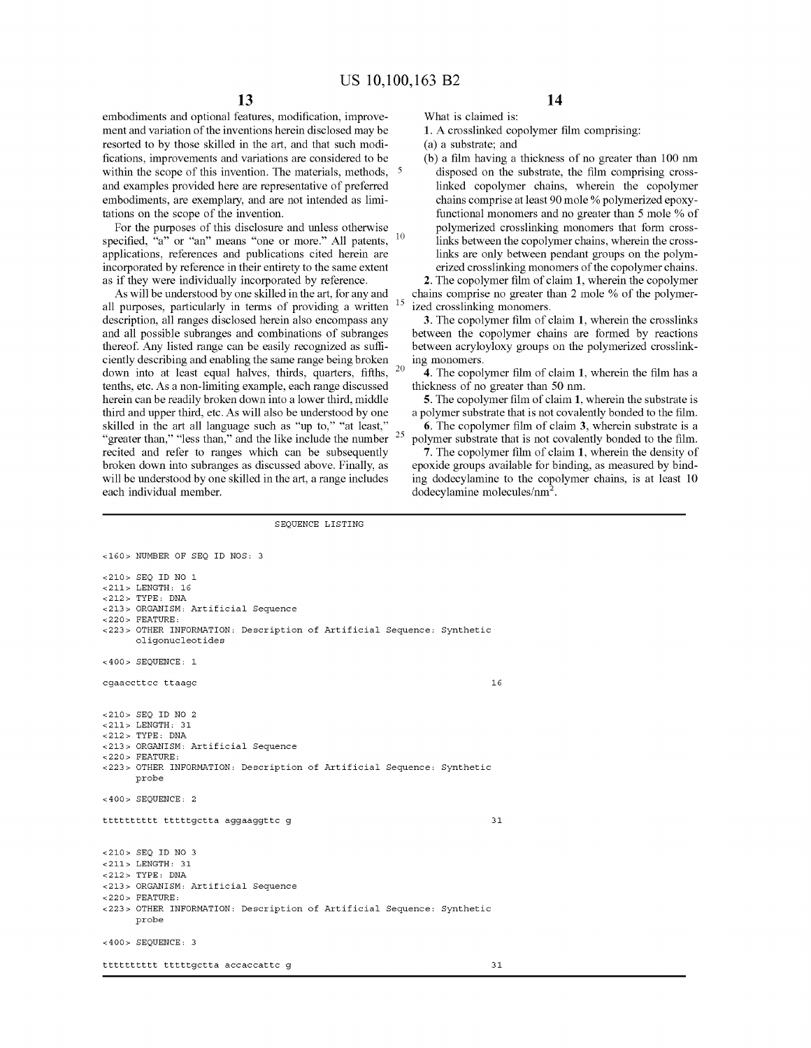embodiments and optional features, modification, improvement and variation of the inventions herein disclosed may be resorted to by those skilled in the art, and that such modifications, improvements and variations are considered to be within the scope of this invention. The materials, methods, <sup>5</sup> and examples provided here are representative of preferred embodiments, are exemplary, and are not intended as limitations on the scope of the invention.

For the purposes of this disclosure and unless otherwise specified, "a" or "an" means "one or more." All patents, <sup>10</sup> applications, references and publications cited herein are incorporated by reference in their entirety to the same extent as if they were individually incorporated by reference.

As will be understood by one skilled in the art, for any and all purposes, particularly in terms of providing a written description, all ranges disclosed herein also encompass any and all possible subranges and combinations of subranges thereof. Any listed range can be easily recognized as sufficiently describing and enabling the same range being broken down into at least equal halves, thirds, quarters, fifths, 20 tenths, etc. As a non-limiting example, each range discussed herein can be readily broken down into a lower third, middle third and upper third, etc. As will also be understood by one skilled in the art all language such as "up to," "at least," "greater than," "less than," and the like include the number  $25$ recited and refer to ranges which can be subsequently broken down into subranges as discussed above. Finally, as will be understood by one skilled in the art, a range includes each individual member.

What is claimed is:

**1.** A crosslinked copolymer film comprising:

**14** 

(a) a substrate; and

(b) a film having a thickness of no greater than 100 nm disposed on the substrate, the film comprising crosslinked copolymer chains, wherein the copolymer chains comprise at least 90 mole% polymerized epoxyfunctional monomers and no greater than 5 mole % of polymerized crosslinking monomers that form crosslinks between the copolymer chains, wherein the crosslinks are only between pendant groups on the polymerized crosslinking monomers of the copolymer chains.

**2.** The copolymer film of claim **1,** wherein the copolymer chains comprise no greater than 2 mole % of the polymerized crosslinking monomers.

**3.** The copolymer film of claim **1,** wherein the crosslinks between the copolymer chains are formed by reactions between acryloyloxy groups on the polymerized crosslinking monomers.

**4.** The copolymer film of claim **1,** wherein the film has a thickness of no greater than 50 nm.

**5.** The copolymer film of claim **1,** wherein the substrate is a polymer substrate that is not covalently bonded to the film.

**6.** The copolymer film of claim **3,** wherein substrate is a polymer substrate that is not covalently bonded to the film.

**7.** The copolymer film of claim **1,** wherein the density of epoxide groups available for binding, as measured by binding dodecylamine to the copolymer chains, is at least 10 dodecylamine molecules/nm<sup>2</sup>.

#### SEQUENCE LISTING

<160> NUMBER OF SEQ ID NOS, 3 <210> SEQ ID NO 1 <211> LENGTH, 16 <212> TYPE, DNA <213> ORGANISM, Artificial Sequence <220> FEATURE, <223> OTHER INFORMATION, Description of Artificial Sequence, Synthetic **oligonucleotides**  <400> SEQUENCE, 1 **cgaaccttcc ttaagc**  <210> SEQ ID NO 2 <211> LENGTH, 31 <212> TYPE, DNA <213> ORGANISM, Artificial Sequence <220> FEATURE, <223> OTHER INFORMATION, Description of Artificial Sequence, Synthetic probe <400> SEQUENCE, 2 tttttttttt tttttgctta aggaaggttc g <210> SEQ ID NO 3 <211> LENGTH, 31 <212> TYPE, DNA <213> ORGANISM, Artificial Sequence <220> FEATURE, <223> OTHER INFORMATION, Description of Artificial Sequence, Synthetic probe <400> SEQUENCE, 3 tttttttttt tttttgctta accaccattc g 16 31 31